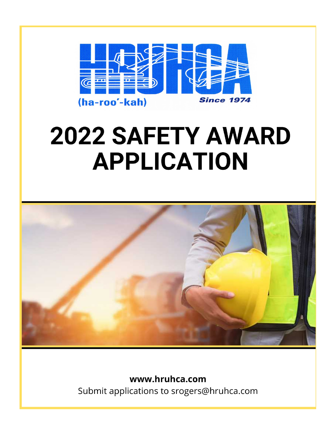

## **2022 SAFETY AWARD APPLICATION**



www.hruhca.com Submit applications to srogers@hruhca.com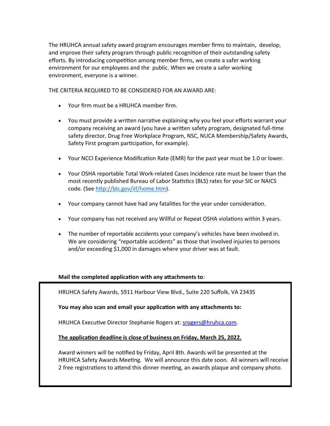<span id="page-1-0"></span>The HRUHCA annual safety award program encourages member firms to maintain, develop, and improve their safety program through public recognition of their outstanding safety efforts. By introducing competition among member firms, we create a safer working environment for our employees and the public. When we create a safer working environment, everyone is a winner.

THE CRITERIA REQUIRED TO BE CONSIDERED FOR AN AWARD ARE:

- Your firm must be a HRUHCA member firm.
- You must provide a written narrative explaining why you feel your efforts warrant your company receiving an award (you have a written safety program, designated full-time safety director, Drug Free Workplace Program, NSC, NUCA Membership/Safety Awards, Safety First program participation, for example).
- Your NCCI Experience Modification Rate (EMR) for the past year must be 1.0 or lower.
- Your OSHA reportable Total Work-related Cases Incidence rate must be lower than the most recently published Bureau of Labor Statistics (BLS) rates for your SIC or NAICS code. (See [http://bls.gov/iif/home.htm\).](#page-1-0)
- Your company cannot have had any fatalities for the year under consideration.
- Your company has not received any Willful or Repeat OSHA violations within 3 years.
- The number of reportable accidents your company's vehicles have been involved in. We are considering "reportable accidents" as those that involved injuries to persons and/or exceeding \$1,000 in damages where your driver was at fault.

## **Mail the completed application with any attachments to**:

HRUHCA Safety Awards, 5911 Harbour View Blvd., Suite 220 Suffolk, VA 23435

**You may also scan and email your application with any attachments to:** 

HRUHCA Executive Director Stephanie Rogers at: [srogers@hruhca.com.](#page-1-0)

**The application deadline is close of business on Friday, March 25, 2022.** 

Award winners will be notified by Friday, April 8th. Awards will be presented at the HRUHCA Safety Awards Meeting. We will announce this date soon. All winners will receive 2 free registrations to attend this dinner meeting, an awards plaque and company photo.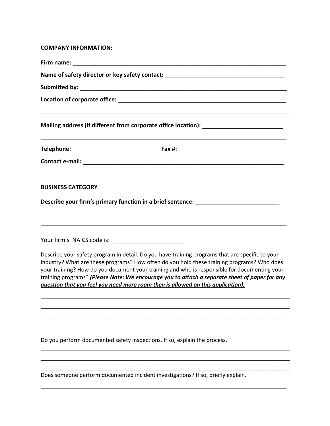## **COMPANY INFORMATION:**

|                          | Name of safety director or key safety contact: _________________________________                                                                                                                                                                                                                                                                                                                                                                                                  |  |
|--------------------------|-----------------------------------------------------------------------------------------------------------------------------------------------------------------------------------------------------------------------------------------------------------------------------------------------------------------------------------------------------------------------------------------------------------------------------------------------------------------------------------|--|
|                          |                                                                                                                                                                                                                                                                                                                                                                                                                                                                                   |  |
|                          |                                                                                                                                                                                                                                                                                                                                                                                                                                                                                   |  |
|                          | Mailing address (if different from corporate office location): __________________                                                                                                                                                                                                                                                                                                                                                                                                 |  |
|                          |                                                                                                                                                                                                                                                                                                                                                                                                                                                                                   |  |
|                          |                                                                                                                                                                                                                                                                                                                                                                                                                                                                                   |  |
| <b>BUSINESS CATEGORY</b> |                                                                                                                                                                                                                                                                                                                                                                                                                                                                                   |  |
|                          | Describe your firm's primary function in a brief sentence: _____________________                                                                                                                                                                                                                                                                                                                                                                                                  |  |
|                          |                                                                                                                                                                                                                                                                                                                                                                                                                                                                                   |  |
|                          | Describe your safety program in detail. Do you have training programs that are specific to your<br>industry? What are these programs? How often do you hold these training programs? Who does<br>your training? How do you document your training and who is responsible for documenting your<br>training programs? (Please Note: We encourage you to attach a separate sheet of paper for any<br>question that you feel you need more room then is allowed on this application). |  |
|                          |                                                                                                                                                                                                                                                                                                                                                                                                                                                                                   |  |
|                          |                                                                                                                                                                                                                                                                                                                                                                                                                                                                                   |  |
|                          | Do you perform documented safety inspections. If so, explain the process.                                                                                                                                                                                                                                                                                                                                                                                                         |  |
|                          |                                                                                                                                                                                                                                                                                                                                                                                                                                                                                   |  |
|                          | Does someone perform documented incident investigations? If so, briefly explain.                                                                                                                                                                                                                                                                                                                                                                                                  |  |

 $\mathcal{L}_\mathcal{L} = \mathcal{L}_\mathcal{L} = \mathcal{L}_\mathcal{L} = \mathcal{L}_\mathcal{L} = \mathcal{L}_\mathcal{L} = \mathcal{L}_\mathcal{L} = \mathcal{L}_\mathcal{L} = \mathcal{L}_\mathcal{L} = \mathcal{L}_\mathcal{L} = \mathcal{L}_\mathcal{L} = \mathcal{L}_\mathcal{L} = \mathcal{L}_\mathcal{L} = \mathcal{L}_\mathcal{L} = \mathcal{L}_\mathcal{L} = \mathcal{L}_\mathcal{L} = \mathcal{L}_\mathcal{L} = \mathcal{L}_\mathcal{L}$